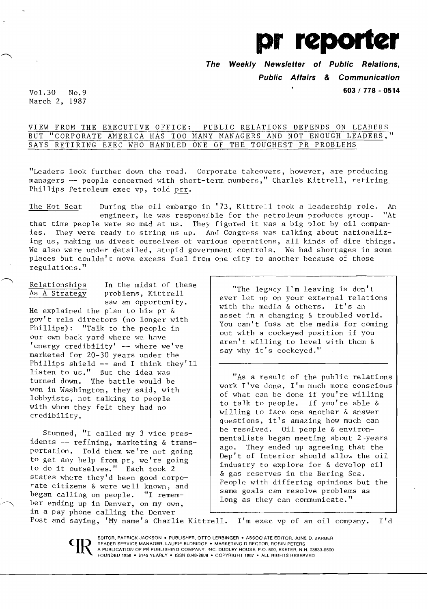

**The Weekly Newsletter of Public Relations, Public Affairs & Communication**  Vol. 30 No.9 **603/ 778 - <sup>0514</sup>**

March 2, 1987

VIEW FROM THE EXECUTIVE OFFICE: PUBLIC RELATIONS DEPENDS ON LEADERS BUT "CORPORATE AMERICA HAS TOO MANY MANAGERS AND NOT ENOUGH LEADERS," SAYS RETIRING EXEC WHO HANDLED ONE OF THE TOUGHEST PR PROBLEMS

"Leaders look further down the road. Corporate takeovers, however, are producing managers -- people concerned with short-term numbers," Charles Kittrell, retiring Phillips Petroleum exec vp, told prr.

The Hot Seat During the oil embargo in '73, Ktttrell took a leadership role. An engineer, he was responsible for the petroleum products group. "At that time people were so mad at us. They figured it was a big plot by oil companies. They were ready to string us up. And Congress was talking about nationalizing us, making us divest ourselves of various operations, all kinds of dire things. We also were under detailed, stupid government controls. We had shortages in some places but couldn't move excess fuel from one city to another because of those regulations. " ------------------------.

Relationships In the midst of these<br>As A Strategy problems, Kittrell problems, Kittrell saw an opportunity. He explained the plan to his pr &

gov't rels directors (no longer with Phillips) : "Talk to the people in our own back yard where we have 'energy credibility' -- where we've marketed for 20-30 years under the Phillips shield -- and I think they'll listen to us." But the idea was turned down. The battle would be won in Washington, they said, with lobbyists, not talking to people with whom they felt they had no credibility.

Stunned, "I called my 3 vice presidents -- refining, marketing & transportation. Told them we're not going to get any help from pr, we're going to do it ourselves." Each took 2 states where they'd been good corporate citizens & were well known, and began calling on people. "I remember ending up in Denver, on my own, in a pay phone calling the Denver

C

"The legacy I'm leaving is don't ever let up on your external relations with the media & others. It's an asset in a changing & troubled world. You can't fuss at the media for coming out with a cockeyed position if you aren't willing to level with them & say why it's cockeyed."

"As a result of the public relations work I've done, I'm much more conscious of what can be done if you're willing to talk to people. If you're able & willing to face one another & answer questions, it's amazing how much can be resolved. Oil people & environmentalists began meeting about 2 'years ago. They ended up agreeing that the Dep't of Interior should allow the oil industry to explore for & develop oil & gas reserves in the Bering Sea. People with differing opinions but the same goals can resolve problems as long as they can communicate."

Post and saying, 'Hy name's Charlie Kittrell. I'm exec vp of an oil company. I'd

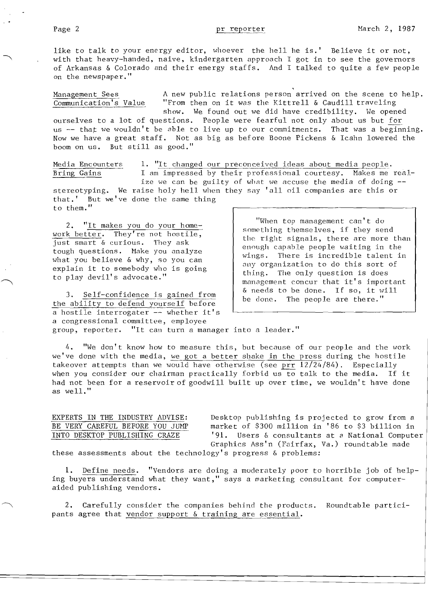like to talk to your energy editor, whoever the hell he is.' Believe it or not, with that heavy-handed, naive, kindergarten approach I got in to see the governors of Arkansas & Colorado and their energy staffs. And I talked to quite a few people on the newspaper."

Management Sees A new public relations person arrived on the scene to help.<br>Communication's Value "From then on it was the Kittrell & Caudill traveling "From then on it was the Kittrell & Caudill traveling show. We found out we did have credibility. We opened ourselves to a lot of questions. People were fearful not only about us but for

us  $-$  that we wouldn't be able to live up to our commitments. That was a beginning. Now we have a great staff. Not as big as before Boone Pickens & Icahn lowered the boom on us. But still as good."

Media Encounters 1. "It changed our preconceived ideas about media people.<br>Bring Gains 1 am impressed by their professional courtesy. Makes me I am impressed by their professional courtesy. Makes me realize we can be guilty of what we accuse the media of doing  $$ stereotyping. We raise holy hell when they say 'all oil companies are this or that.' But we've done the same thing to them."

2. "It makes you do your homework better. They're not hostile, just smart & curious. They ask tough questions. Hake you analyze what you believe & why, so you can explain it to somebody who is going to play devil's advocate."

3. Self-confidence is gained from the ability to defend yourself before a hostile interrogater -- whether it's a congressional committee, employee group, reporter. "It can turn a manager into a leader."

"When top management can't do something themselves, if they send the right signals, there are more than enough capable people waiting in the wings. There is incredible talent in any organization to do this sort of thing. The only question is does management concur that it's important & needs to be done. If so, it will be done. The people are there."

4. "We don't know how to measure this, but because of our people and the work we've done with the media, we got a better shake in the press during the hostile takeover attempts than we would have otherwise (see prr  $12/24/84$ ). Especially when you consider our chairman practically forbid us to talk to the media. If it had not been for a reservoir of goodwill built up over time, we wouldn't have done as well."

EXPERTS IN THE INDUSTRY ADVISE: Desktop publishing is projected to grow from a<br>BE VERY CAREFUL BEFORE YOU JUMP market of \$300 million in '86 to \$3 billion in market of \$300 million in '86 to \$3 billion in INTO DESKTOP PUBLISHING CRAZE '91. Users & consultants at a National Computer Graphics Ass'n (Fairfax, Va.) roundtable made

these assessments about the technology's progress & problems:

1. Define needs. "Vendors are doing a moderately poor to horrible job of helping buyers understand what they want," says a marketing consultant for computeraided publishing vendors.

2. Carefully consider the companies behind the products. Roundtable participants agree that vendor support & training are essential.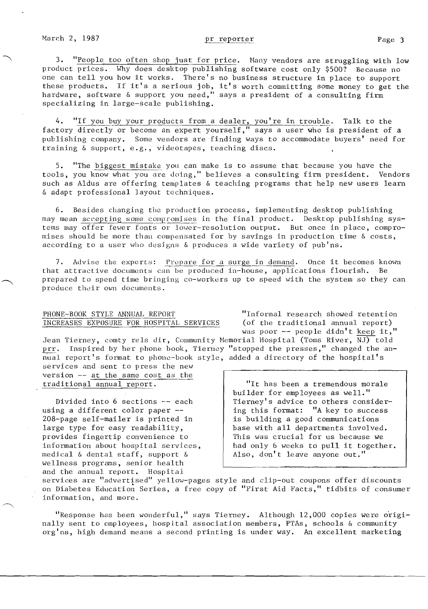3. "People too often shop just for price. Nany vendors are struggling with low product prices. Why does desktop publishing software cost only \$500? Because no one can tell you how it works. There's no business structure in place to support these products. If it's a serious job, it's worth committing some money to get the hardware, software & support you need," says a president of a consulting firm specializing in large-scale publishing.

4. "If you buy your products from a dealer, you're in trouble. Talk to the factory directly or become an expert yourself," says a user who is president of a publishing company. Some vendors are finding ways to accommodate buyers' need for training & support, e.g., videotapes, teaching discs.

5. "The biggest mistake you can make is to assume that because you have the tools, you know what you are doing," believes a consulting firm president. Vendors such as Aldus are offering templates & teaching programs that help new users learn & adapt professional layout techniques.

6. Besides changing the production process, implementing desktop publishing may mean accepting some compromises in the final product. Desktop publishing systems may offer fewer fonts or lower-resolution output. But once in place, compromises should be more than compensated for by savings in production time & costs, according to a user who designs  $\&$  produces a wide variety of pub'ns.

7. Advise the experts: Prepare for a surge in demand. Once it becomes known that attractive documents can be produced in-house, applications flourish. Be prepared to spend time bringing co-workers up to speed with the system so they can produce their own documents.

# PHONE-BOOK STYLE ANNUAL REPORT **"Informal research showed retention**<br>INCREASES EXPOSURE FOR HOSPITAL SERVICES (of the traditional annual report) INCREASES EXPOSURE FOR HOSPITAL SERVICES

was poor -- people didn't keep it,"

Jean Tierney, comty rels dir, Community Memorial Hospital (Toms River, NJ) told prr. Inspired by her phone book, Tierney "stopped the presses," changed the annual report's format to phone-book style, added a directory of the hospital's services and sent to press the new

version -- at the same cost as the traditional annual report.

Divided into 6 sections -- each using a different color paper - 20B-page self-mailer is printed in large type for easy readability, provides fingertip convenience to information about hospital services, medical & dental staff, support & wellness programs, senior health and the annual report. Hospital

"It has been a tremendous morale builder for employees as well." Tierney's advice to others considering this format: "A key to success is building a good communications base with all departments involved. This was crucial for us because we had only 6 weeks to pull it together. Also, don't leave anyone out."

services are "advertised" yellow-pages style and clip-out coupons offer discounts • on Diabetes Education Series, a free copy of "First Aid Facts," tidbits of consumer information, and more.

"Response has been wonderful," says Tierney. Although 12,000 copies were originally sent to employees, hospital association members, PTAs, schools & community org'ns, high demand means a second printing is under way. An excellent marketing